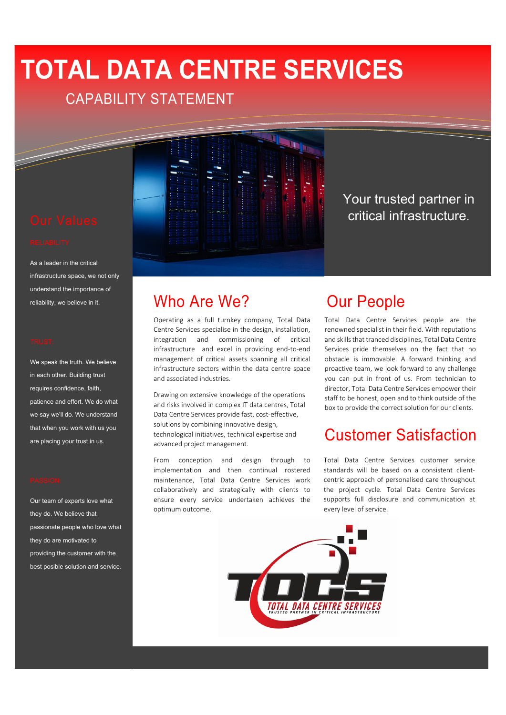# **TOTAL DATA CENTRE SERVICES**

# CAPABILITY STATEMENT



As a leader in the critical infrastructure space, we not only understand the importance of reliability, we believe in it.

We speak the truth. We believe in each other. Building trust requires confidence, faith, patience and effort. We do what we say we'll do. We understand that when you work with us you are placing your trust in us.

Our team of experts love what they do. We believe that passionate people who love what they do are motivated to providing the customer with the best posible solution and service.



Operating as a full turnkey company, Total Data Centre Services specialise in the design, installation, integration and commissioning of critical infrastructure and excel in providing end-to-end management of critical assets spanning all critical infrastructure sectors within the data centre space and associated industries.

Drawing on extensive knowledge of the operations and risks involved in complex IT data centres, Total Data Centre Services provide fast, cost‐effective, solutions by combining innovative design, technological initiatives, technical expertise and advanced project management.

From conception and design through to implementation and then continual rostered maintenance, Total Data Centre Services work collaboratively and strategically with clients to ensure every service undertaken achieves the optimum outcome.

# Our People

Total Data Centre Services people are the renowned specialist in their field. With reputations and skills that tranced disciplines, Total Data Centre Services pride themselves on the fact that no obstacle is immovable. A forward thinking and proactive team, we look forward to any challenge you can put in front of us. From technician to director, Total Data Centre Services empower their staff to be honest, open and to think outside of the box to provide the correct solution for our clients.

Your trusted partner in critical infrastructure.

# Customer Satisfaction

Total Data Centre Services customer service standards will be based on a consistent client‐ centric approach of personalised care throughout the project cycle. Total Data Centre Services supports full disclosure and communication at every level of service.